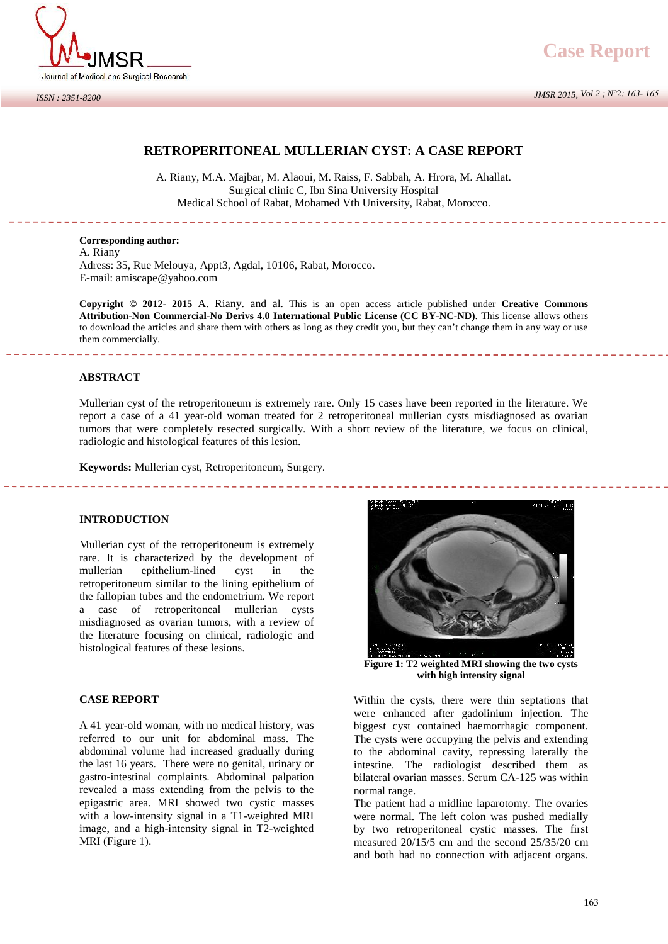



# **RETROPERITONEAL MULLERIAN CYST: A CASE REPORT**

ETROPERITONEAL MULLERIAN CYST: A CASE REPORT<br>A. Riany, M.A. Majbar, M. Alaoui, M. Raiss, F. Sabbah, A. Hrora, M. Ahallat.<br>Surgical clinic C, Ibn Sina University Hospital Surgical clinic C, Ibn Sina University Hospital Medical School of Rabat, Mohamed Vth University, Rabat, Morocco.

**Corresponding author:** A. Riany Adress: 35, Rue Melouya, Appt3, Agdal, 10106, Rabat, Morocco. E-mail: amiscape@yahoo.com

**Copyright © 2012- 2015** A.Riany. and al. This is an open access article published under **Creative Commons Attribution-Non Commercial-No Derivs 4.0 International Public License (CC BY-NC-ND)**. This license allows others to download the articles and share them with others as long as they credit you, but they can't change them in any way or use them commercially.

# **ABSTRACT**

Mullerian cyst of the retroperitoneum is extremely rare. Only 15 cases have been reported in the literature. We report a case of a 41 year-old woman treated for 2 retroperitoneal mullerian cysts misdiagnosed as ovarian tumors that were completely resected surgically. With a short review of the literature, we focus on clinical, radiologic and histological features of this lesion.

**Keywords:** Mullerian cyst, Retroperitoneum, Surgery.

\_\_\_\_\_\_\_\_\_\_\_\_\_\_\_\_\_\_\_\_

#### **INTRODUCTION**

Mullerian cyst of the retroperitoneum is extremely rare. It is characterized by the development of mullerian epithelium-lined cyst in the retroperitoneum similar to the lining epithelium of the fallopian tubes and the endometrium. We report a case of retroperitoneal mullerian cysts misdiagnosed as ovarian tumors, with a review of the literature focusing on clinical, radiologic and histological features of these lesions.

#### **CASE REPORT**

A 41 year-old woman, with no medical history, was referred to our unit for abdominal mass. The abdominal volume had increased gradually during the last 16 years. There were no genital, urinary or gastro-intestinal complaints. Abdominal palpation revealed a mass extending from the pelvis to the epigastric area. MRI showed two cystic masses with a low-intensity signal in a T1-weighted MRI image, and a high-intensity signal in T2-weighted MRI (Figure 1).



**Figure 1: T2 weighted MRI showing the two cysts with high intensity signal**

Within the cysts, there were thin septations that were enhanced after gadolinium injection. The biggest cyst contained haemorrhagic component. The cysts were occupying the pelvis and extending to the abdominal cavity, repressing laterally the intestine. The radiologist described them as bilateral ovarian masses. Serum CA-125 was within normal range.

The patient had a midline laparotomy. The ovaries were normal. The left colon was pushed medially by two retroperitoneal cystic masses. The first measured 20/15/5 cm and the second 25/35/20 cm and both had no connection with adjacent organs.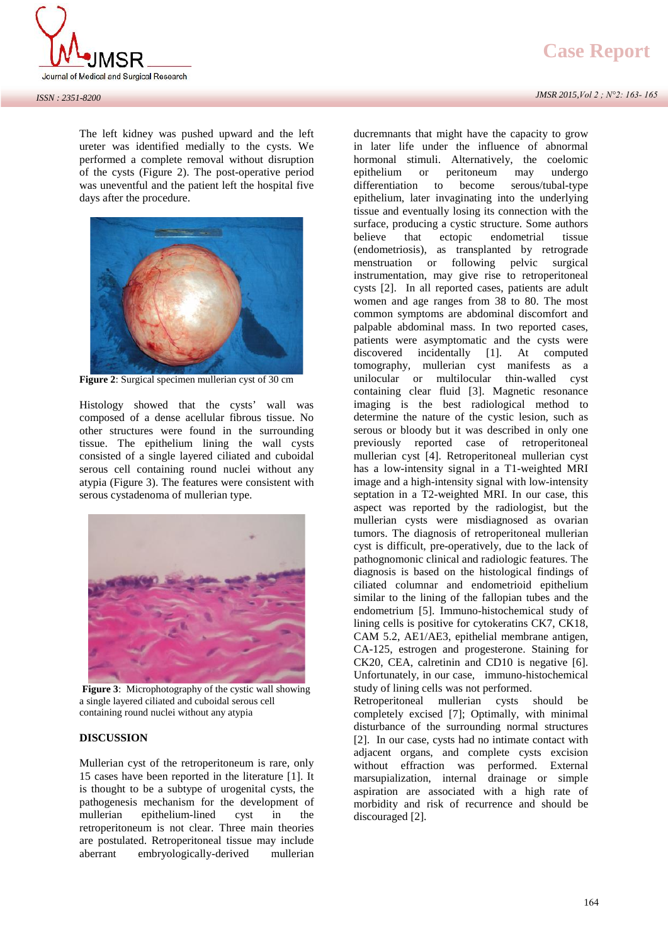# **Case Report**



The left kidney was pushed upward and the left ureter was identified medially to the cysts. We performed a complete removal without disruption of the cysts (Figure 2). The post-operative period was uneventful and the patient left the hospital five days after the procedure.



**Figure 2**: Surgical specimen mullerian cyst of 30 cm

Histology showed that the cysts' wall was composed of a dense acellular fibrous tissue. No other structures were found in the surrounding tissue. The epithelium lining the wall cysts consisted of a single layered ciliated and cuboidal serous cell containing round nuclei without any atypia (Figure 3). The features were consistent with serous cystadenoma of mullerian type.



**Figure 3**: Microphotography of the cystic wall showing a single layered ciliated and cuboidal serous cell containing round nuclei without any atypia

### **DISCUSSION**

Mullerian cyst of the retroperitoneum is rare, only 15 cases have been reported in the literature [1]. It is thought to be a subtype of urogenital cysts, the pathogenesis mechanism for the development of mullerian epithelium-lined cyst in the retroperitoneum is not clear. Three main theories are postulated. Retroperitoneal tissue may include aberrant embryologically-derived mullerian

ducremnants that might have the capacity to grow in later life under the influence of abnormal hormonal stimuli. Alternatively, the coelomic or peritoneum may undergo differentiation to become serous/tubal-type epithelium, later invaginating into the underlying tissue and eventually losing its connection with the surface, producing a cystic structure. Some authors believe that ectopic endometrial tissue (endometriosis), as transplanted by retrograde menstruation or following pelvic surgical instrumentation, may give rise to retroperitoneal cysts [2]. In all reported cases, patients are adult women and age ranges from 38 to 80. The most common symptoms are abdominal discomfort and palpable abdominal mass. In two reported cases, patients were asymptomatic and the cysts were discovered incidentally [1]. At computed tomography, mullerian cyst manifests as a unilocular or multilocular thin-walled cyst containing clear fluid [3]. Magnetic resonance imaging is the best radiological method to determine the nature of the cystic lesion, such as serous or bloody but it was described in only one previously reported case of retroperitoneal mullerian cyst [4]. Retroperitoneal mullerian cyst has a low-intensity signal in a T1-weighted MRI image and a high-intensity signal with low-intensity septation in a T2-weighted MRI. In our case, this aspect was reported by the radiologist, but the mullerian cysts were misdiagnosed as ovarian tumors. The diagnosis of retroperitoneal mullerian cyst is difficult, pre-operatively, due to the lack of pathognomonic clinical and radiologic features. The diagnosis is based on the histological findings of ciliated columnar and endometrioid epithelium similar to the lining of the fallopian tubes and the endometrium [5]. Immuno-histochemical study of lining cells is positive for cytokeratins CK7, CK18, CAM 5.2, AE1/AE3, epithelial membrane antigen, CA-125, estrogen and progesterone. Staining for CK20, CEA, calretinin and CD10 is negative [6]. Unfortunately, in our case, immuno-histochemical study of lining cells was not performed.

Retroperitoneal mullerian cysts should be completely excised [7]; Optimally, with minimal disturbance of the surrounding normal structures [2]. In our case, cysts had no intimate contact with adjacent organs, and complete cysts excision without effraction was performed. External marsupialization, internal drainage or simple aspiration are associated with a high rate of morbidity and risk of recurrence and should be discouraged [2].